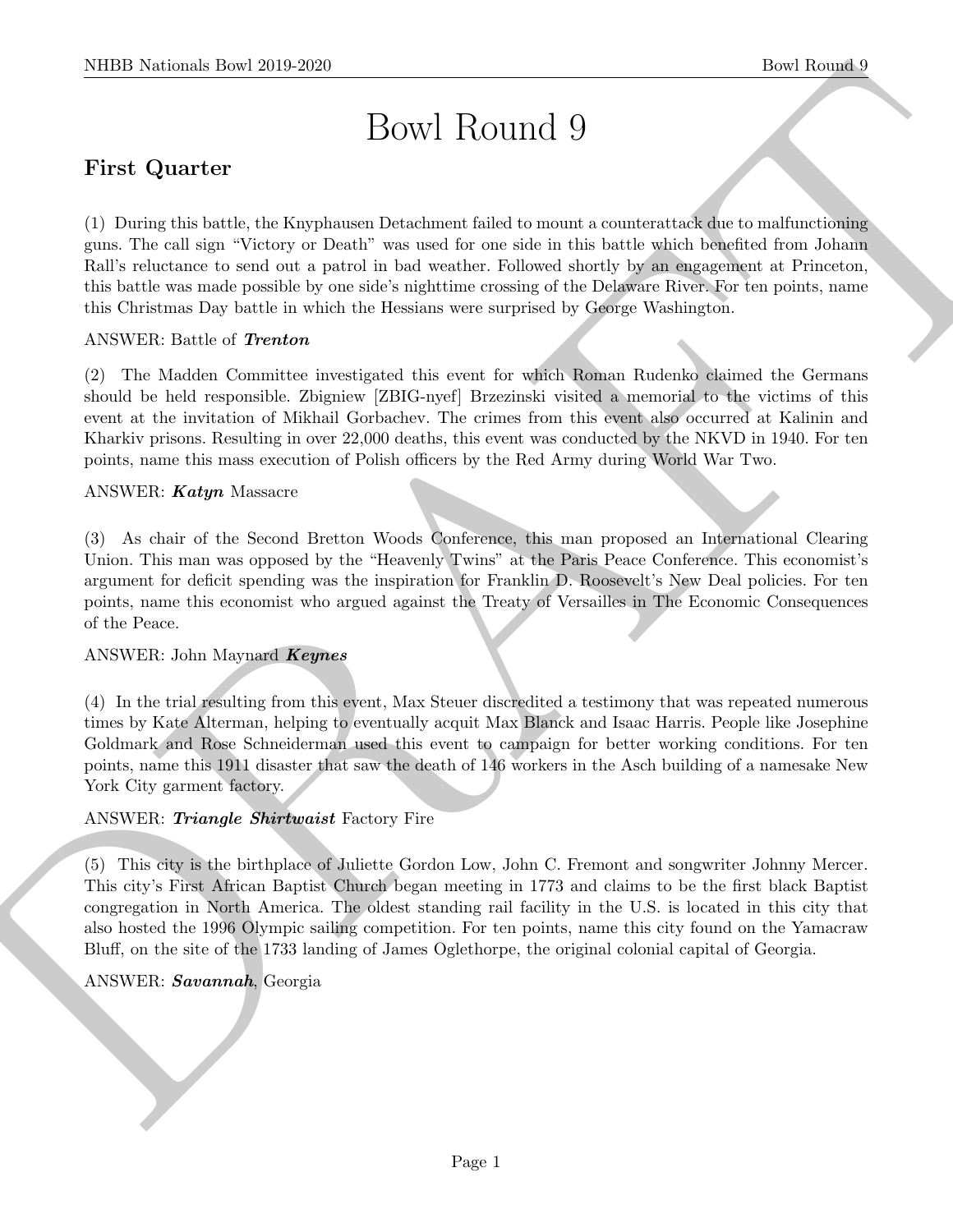# Bowl Round 9

# First Quarter

(1) During this battle, the Knyphausen Detachment failed to mount a counterattack due to malfunctioning guns. The call sign "Victory or Death" was used for one side in this battle which benefited from Johann Rall's reluctance to send out a patrol in bad weather. Followed shortly by an engagement at Princeton, this battle was made possible by one side's nighttime crossing of the Delaware River. For ten points, name this Christmas Day battle in which the Hessians were surprised by George Washington.

#### ANSWER: Battle of Trenton

(2) The Madden Committee investigated this event for which Roman Rudenko claimed the Germans should be held responsible. Zbigniew [ZBIG-nyef] Brzezinski visited a memorial to the victims of this event at the invitation of Mikhail Gorbachev. The crimes from this event also occurred at Kalinin and Kharkiv prisons. Resulting in over 22,000 deaths, this event was conducted by the NKVD in 1940. For ten points, name this mass execution of Polish officers by the Red Army during World War Two.

#### ANSWER: Katyn Massacre

NIBB Notional- how 2019-2020<br>
Bowl BOWI ROUTICE (<br>
First Quarter<br>
First Quarter<br>
First Quarter<br>
First Cuarter<br>
The Source of the Contribution of the Contribution of the Source of the Source of the Contribution<br>
Figure 2. (3) As chair of the Second Bretton Woods Conference, this man proposed an International Clearing Union. This man was opposed by the "Heavenly Twins" at the Paris Peace Conference. This economist's argument for deficit spending was the inspiration for Franklin D. Roosevelt's New Deal policies. For ten points, name this economist who argued against the Treaty of Versailles in The Economic Consequences of the Peace.

#### ANSWER: John Maynard Keynes

(4) In the trial resulting from this event, Max Steuer discredited a testimony that was repeated numerous times by Kate Alterman, helping to eventually acquit Max Blanck and Isaac Harris. People like Josephine Goldmark and Rose Schneiderman used this event to campaign for better working conditions. For ten points, name this 1911 disaster that saw the death of 146 workers in the Asch building of a namesake New York City garment factory.

#### ANSWER: Triangle Shirtwaist Factory Fire

(5) This city is the birthplace of Juliette Gordon Low, John C. Fremont and songwriter Johnny Mercer. This city's First African Baptist Church began meeting in 1773 and claims to be the first black Baptist congregation in North America. The oldest standing rail facility in the U.S. is located in this city that also hosted the 1996 Olympic sailing competition. For ten points, name this city found on the Yamacraw Bluff, on the site of the 1733 landing of James Oglethorpe, the original colonial capital of Georgia.

#### ANSWER: Savannah, Georgia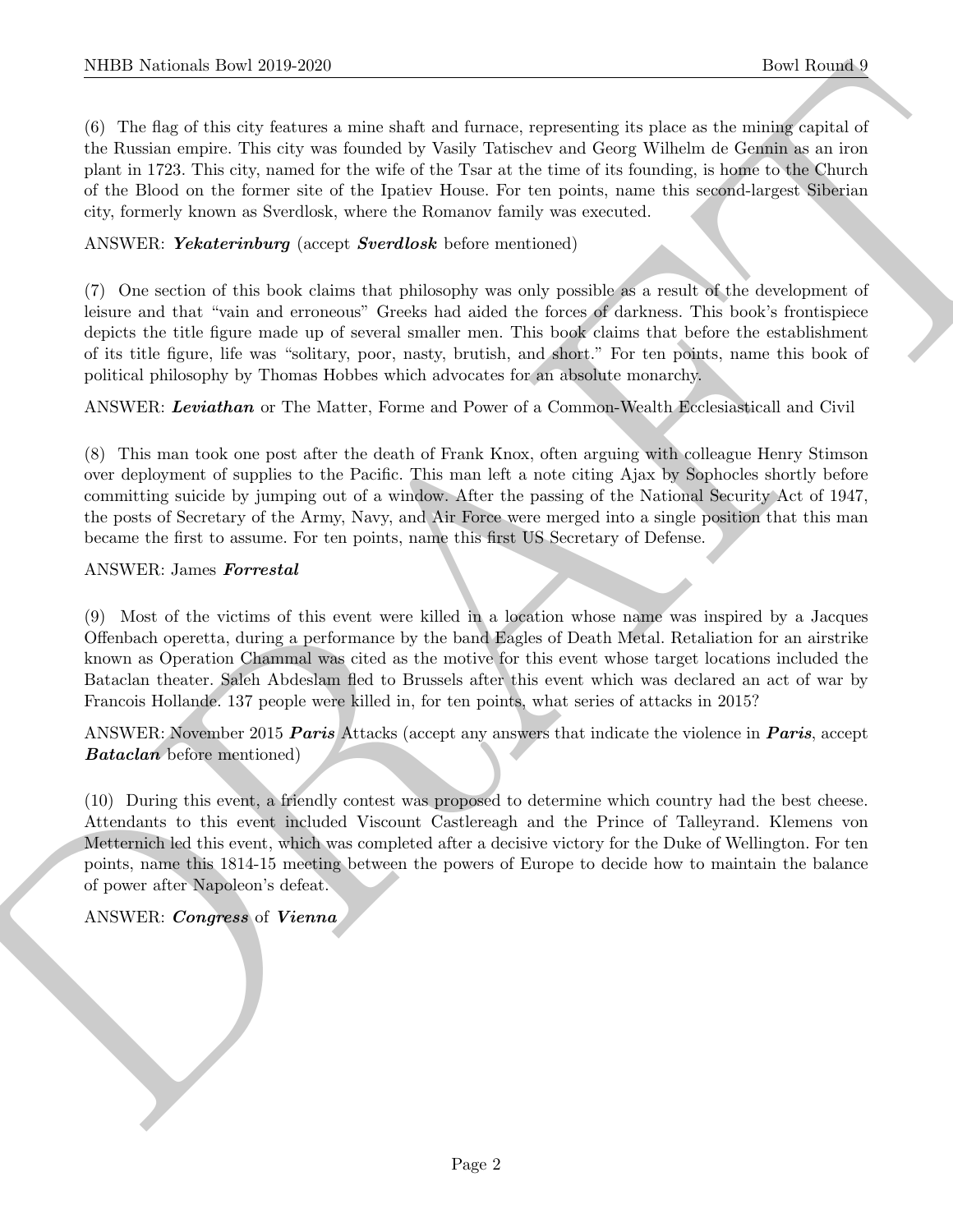NIBED Noticeals, how 2019-2020<br>
On The Rooms 1 How 120 and the same states and causar, reasonating is place as the Rooms 1<br>
On The angle of the site of the same state and causar procedures of Group Willed of Group as a vi (6) The flag of this city features a mine shaft and furnace, representing its place as the mining capital of the Russian empire. This city was founded by Vasily Tatischev and Georg Wilhelm de Gennin as an iron plant in 1723. This city, named for the wife of the Tsar at the time of its founding, is home to the Church of the Blood on the former site of the Ipatiev House. For ten points, name this second-largest Siberian city, formerly known as Sverdlosk, where the Romanov family was executed.

#### ANSWER: Yekaterinburg (accept Sverdlosk before mentioned)

(7) One section of this book claims that philosophy was only possible as a result of the development of leisure and that "vain and erroneous" Greeks had aided the forces of darkness. This book's frontispiece depicts the title figure made up of several smaller men. This book claims that before the establishment of its title figure, life was "solitary, poor, nasty, brutish, and short." For ten points, name this book of political philosophy by Thomas Hobbes which advocates for an absolute monarchy.

ANSWER: Leviathan or The Matter, Forme and Power of a Common-Wealth Ecclesiasticall and Civil

(8) This man took one post after the death of Frank Knox, often arguing with colleague Henry Stimson over deployment of supplies to the Pacific. This man left a note citing Ajax by Sophocles shortly before committing suicide by jumping out of a window. After the passing of the National Security Act of 1947, the posts of Secretary of the Army, Navy, and Air Force were merged into a single position that this man became the first to assume. For ten points, name this first US Secretary of Defense.

#### ANSWER: James Forrestal

(9) Most of the victims of this event were killed in a location whose name was inspired by a Jacques Offenbach operetta, during a performance by the band Eagles of Death Metal. Retaliation for an airstrike known as Operation Chammal was cited as the motive for this event whose target locations included the Bataclan theater. Saleh Abdeslam fled to Brussels after this event which was declared an act of war by Francois Hollande. 137 people were killed in, for ten points, what series of attacks in 2015?

ANSWER: November 2015 **Paris** Attacks (accept any answers that indicate the violence in **Paris**, accept Bataclan before mentioned)

(10) During this event, a friendly contest was proposed to determine which country had the best cheese. Attendants to this event included Viscount Castlereagh and the Prince of Talleyrand. Klemens von Metternich led this event, which was completed after a decisive victory for the Duke of Wellington. For ten points, name this 1814-15 meeting between the powers of Europe to decide how to maintain the balance of power after Napoleon's defeat.

#### ANSWER: Congress of Vienna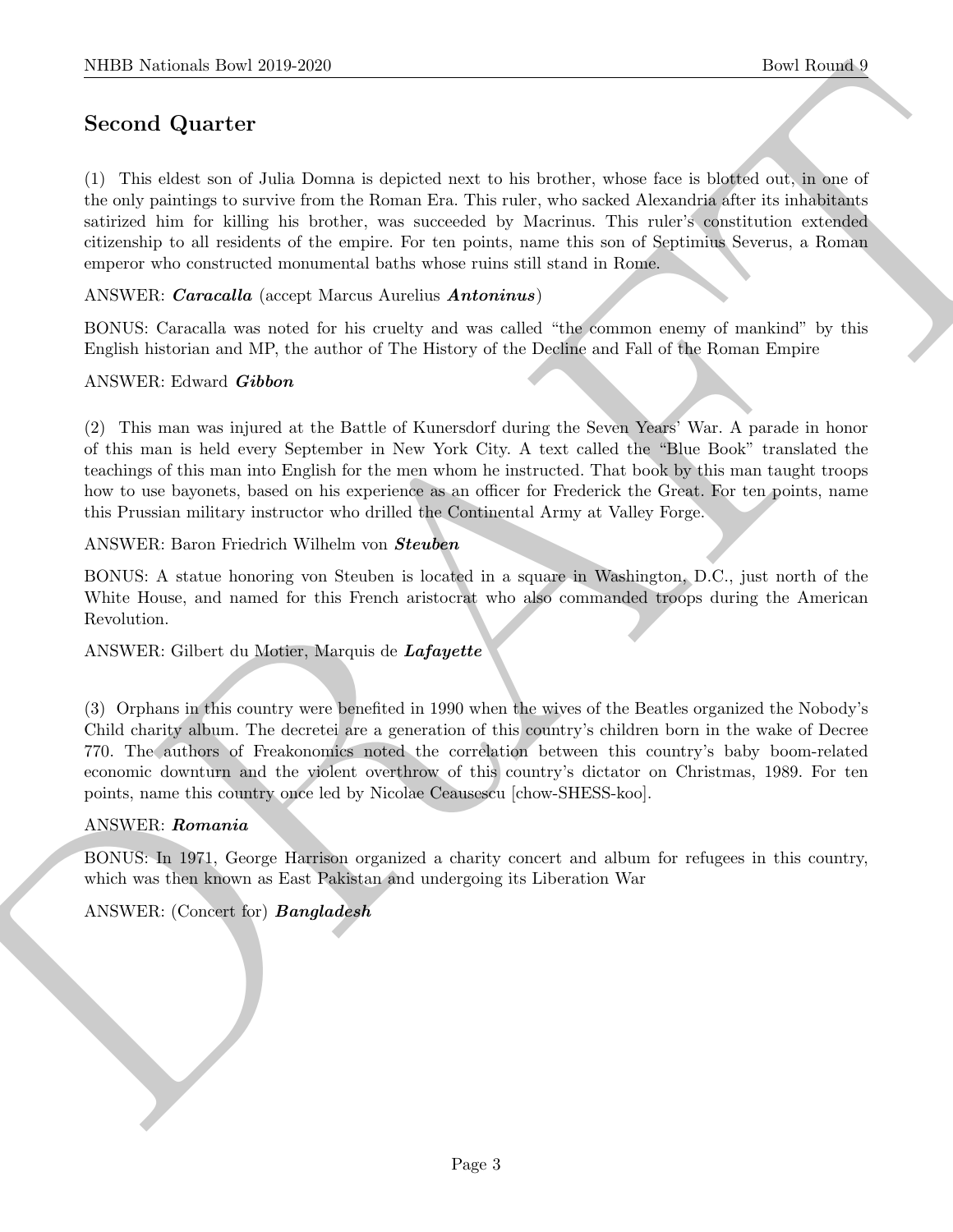# Second Quarter

(1) This eldest son of Julia Domna is depicted next to his brother, whose face is blotted out, in one of the only paintings to survive from the Roman Era. This ruler, who sacked Alexandria after its inhabitants satirized him for killing his brother, was succeeded by Macrinus. This ruler's constitution extended citizenship to all residents of the empire. For ten points, name this son of Septimius Severus, a Roman emperor who constructed monumental baths whose ruins still stand in Rome.

ANSWER: Caracalla (accept Marcus Aurelius Antoninus)

BONUS: Caracalla was noted for his cruelty and was called "the common enemy of mankind" by this English historian and MP, the author of The History of the Decline and Fall of the Roman Empire

#### ANSWER: Edward Gibbon

NIBER Noticeals, then 2019 2019 2020<br>
Second Quart of<br>
(2) This calculate in the interaction is trajected next to the includer, whose the is blacked as a final of<br>
(b) This calculate the relation of the Rosen Re. The rate (2) This man was injured at the Battle of Kunersdorf during the Seven Years' War. A parade in honor of this man is held every September in New York City. A text called the "Blue Book" translated the teachings of this man into English for the men whom he instructed. That book by this man taught troops how to use bayonets, based on his experience as an officer for Frederick the Great. For ten points, name this Prussian military instructor who drilled the Continental Army at Valley Forge.

ANSWER: Baron Friedrich Wilhelm von Steuben

BONUS: A statue honoring von Steuben is located in a square in Washington, D.C., just north of the White House, and named for this French aristocrat who also commanded troops during the American Revolution.

ANSWER: Gilbert du Motier, Marquis de Lafayette

(3) Orphans in this country were benefited in 1990 when the wives of the Beatles organized the Nobody's Child charity album. The decretei are a generation of this country's children born in the wake of Decree 770. The authors of Freakonomics noted the correlation between this country's baby boom-related economic downturn and the violent overthrow of this country's dictator on Christmas, 1989. For ten points, name this country once led by Nicolae Ceausescu [chow-SHESS-koo].

#### ANSWER: Romania

BONUS: In 1971, George Harrison organized a charity concert and album for refugees in this country, which was then known as East Pakistan and undergoing its Liberation War

ANSWER: (Concert for) **Bangladesh**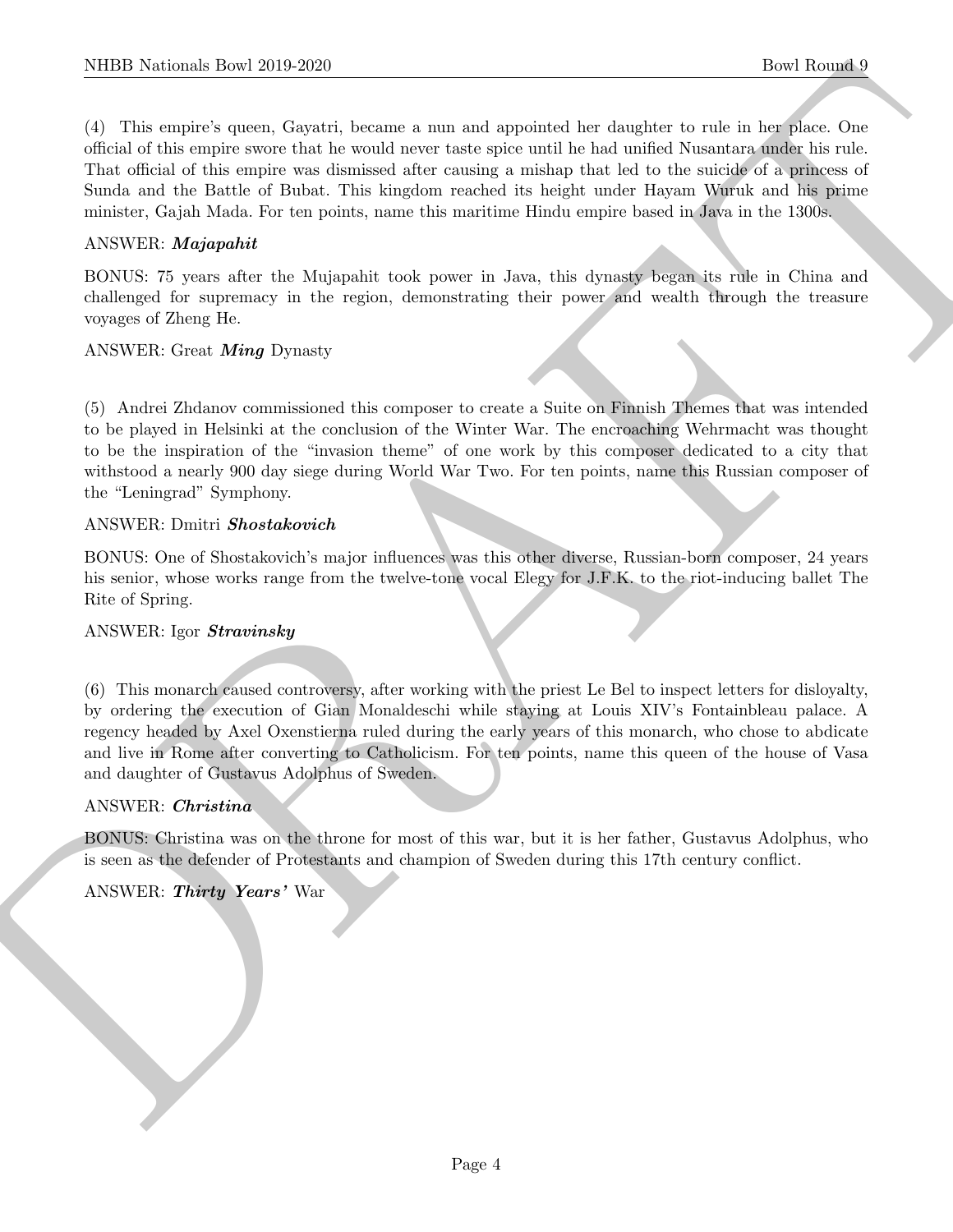NIBB Notionals how 2019-2020.<br>
(1) This weakes quote a point of the main a sum and handled like changing to the first of the main of the state of the state of the state of the state of the state of the state of the state (4) This empire's queen, Gayatri, became a nun and appointed her daughter to rule in her place. One official of this empire swore that he would never taste spice until he had unified Nusantara under his rule. That official of this empire was dismissed after causing a mishap that led to the suicide of a princess of Sunda and the Battle of Bubat. This kingdom reached its height under Hayam Wuruk and his prime minister, Gajah Mada. For ten points, name this maritime Hindu empire based in Java in the 1300s.

#### ANSWER: Majapahit

BONUS: 75 years after the Mujapahit took power in Java, this dynasty began its rule in China and challenged for supremacy in the region, demonstrating their power and wealth through the treasure voyages of Zheng He.

#### ANSWER: Great Ming Dynasty

(5) Andrei Zhdanov commissioned this composer to create a Suite on Finnish Themes that was intended to be played in Helsinki at the conclusion of the Winter War. The encroaching Wehrmacht was thought to be the inspiration of the "invasion theme" of one work by this composer dedicated to a city that withstood a nearly 900 day siege during World War Two. For ten points, name this Russian composer of the "Leningrad" Symphony.

#### ANSWER: Dmitri Shostakovich

BONUS: One of Shostakovich's major influences was this other diverse, Russian-born composer, 24 years his senior, whose works range from the twelve-tone vocal Elegy for J.F.K. to the riot-inducing ballet The Rite of Spring.

#### ANSWER: Igor Stravinsky

(6) This monarch caused controversy, after working with the priest Le Bel to inspect letters for disloyalty, by ordering the execution of Gian Monaldeschi while staying at Louis XIV's Fontainbleau palace. A regency headed by Axel Oxenstierna ruled during the early years of this monarch, who chose to abdicate and live in Rome after converting to Catholicism. For ten points, name this queen of the house of Vasa and daughter of Gustavus Adolphus of Sweden.

#### ANSWER: Christina

BONUS: Christina was on the throne for most of this war, but it is her father, Gustavus Adolphus, who is seen as the defender of Protestants and champion of Sweden during this 17th century conflict.

#### ANSWER: Thirty Years' War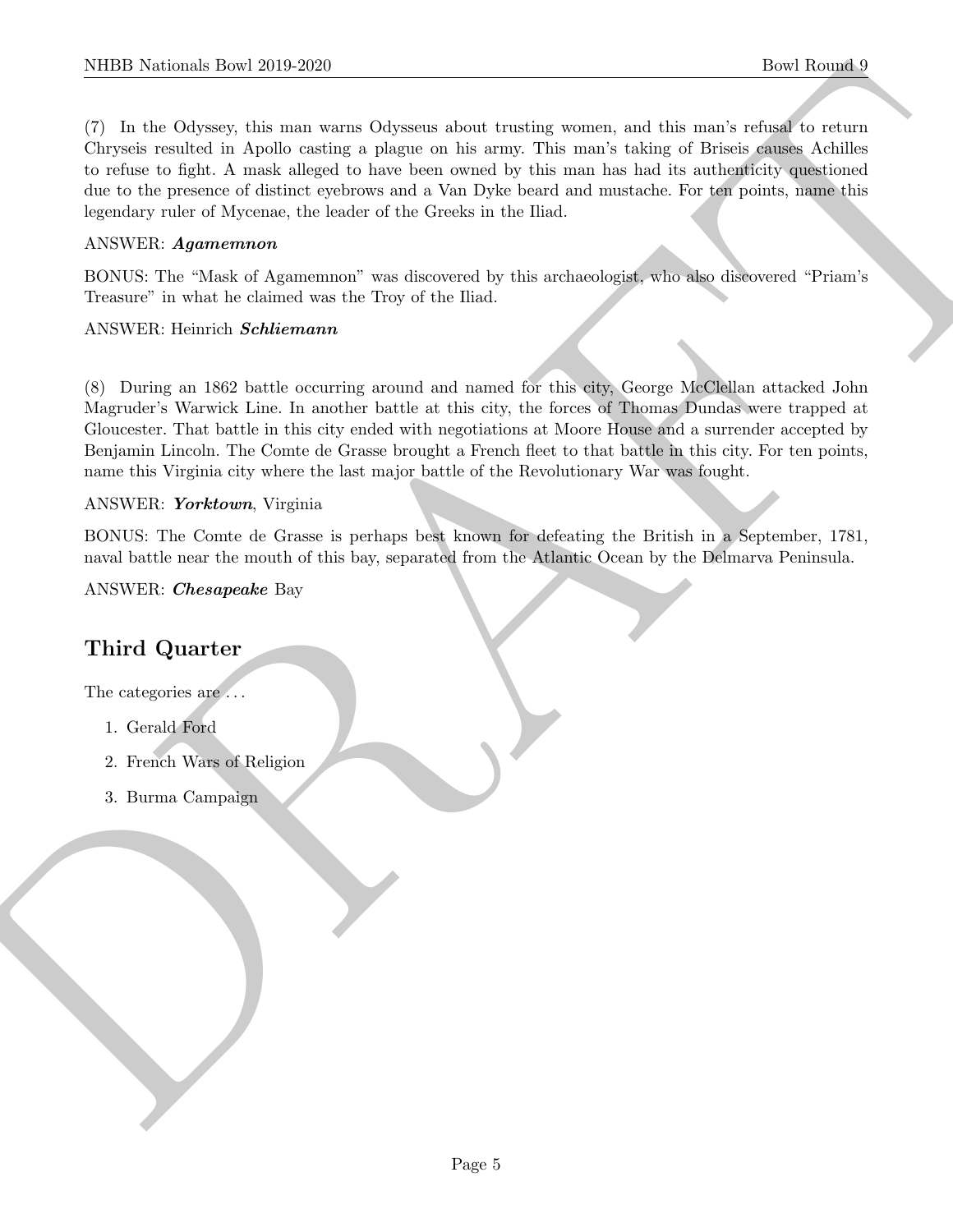NIBB Noticeals how 2019-2020<br>
The Rhound Counter and Discounts about intendic source, and this mask counter of the formula<br>
Chrystia condition is Applicational Chrystian Counter the same intendiction of Priori (Control of (7) In the Odyssey, this man warns Odysseus about trusting women, and this man's refusal to return Chryseis resulted in Apollo casting a plague on his army. This man's taking of Briseis causes Achilles to refuse to fight. A mask alleged to have been owned by this man has had its authenticity questioned due to the presence of distinct eyebrows and a Van Dyke beard and mustache. For ten points, name this legendary ruler of Mycenae, the leader of the Greeks in the Iliad.

#### ANSWER: Agamemnon

BONUS: The "Mask of Agamemnon" was discovered by this archaeologist, who also discovered "Priam's Treasure" in what he claimed was the Troy of the Iliad.

#### ANSWER: Heinrich Schliemann

(8) During an 1862 battle occurring around and named for this city, George McClellan attacked John Magruder's Warwick Line. In another battle at this city, the forces of Thomas Dundas were trapped at Gloucester. That battle in this city ended with negotiations at Moore House and a surrender accepted by Benjamin Lincoln. The Comte de Grasse brought a French fleet to that battle in this city. For ten points, name this Virginia city where the last major battle of the Revolutionary War was fought.

#### ANSWER: Yorktown, Virginia

BONUS: The Comte de Grasse is perhaps best known for defeating the British in a September, 1781, naval battle near the mouth of this bay, separated from the Atlantic Ocean by the Delmarva Peninsula.

ANSWER: Chesapeake Bay

# Third Quarter

The categories are  $\dots$ 

- 1. Gerald Ford
- 2. French Wars of Religion
- 3. Burma Campaign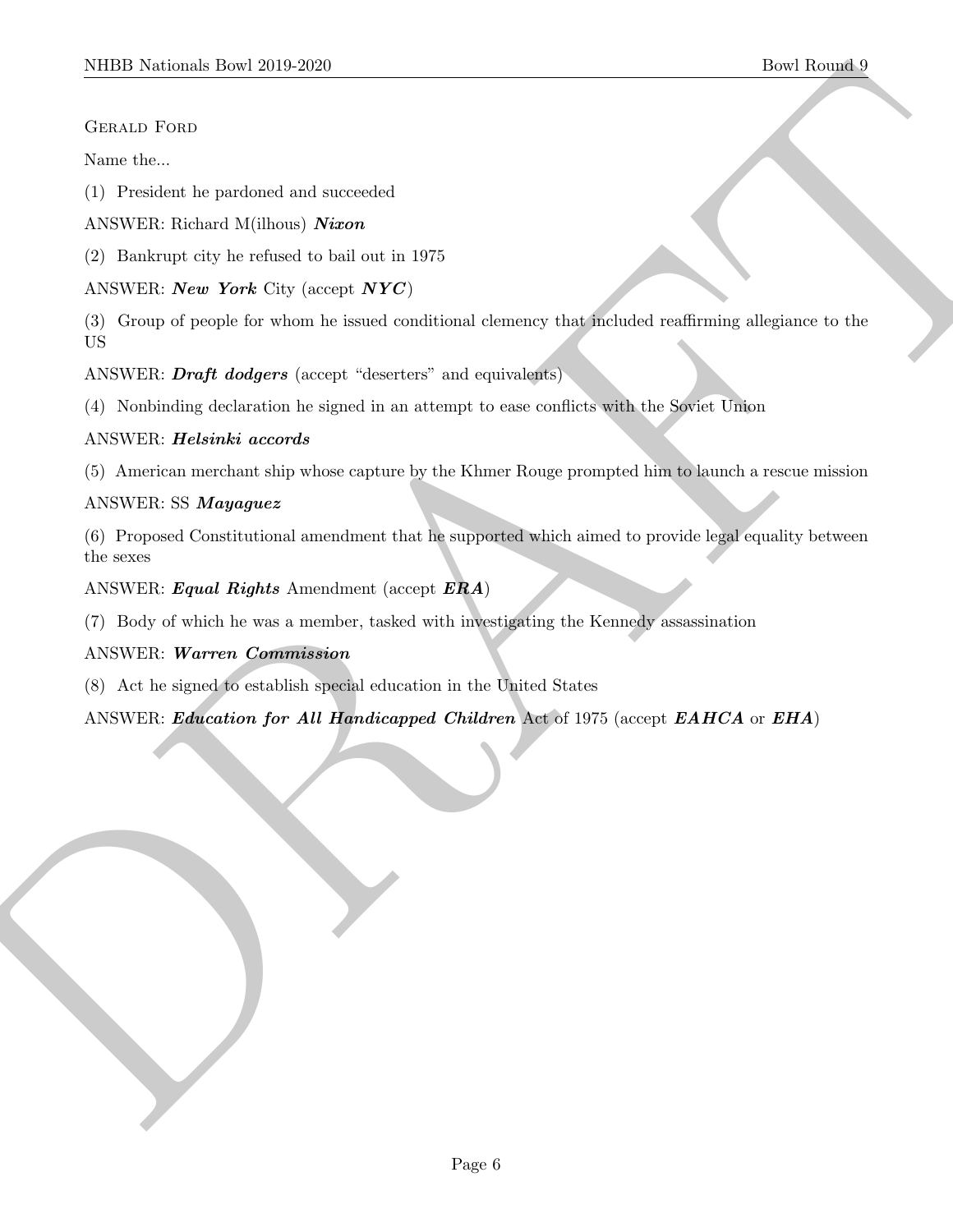#### Gerald Ford

Name the...

(1) President he pardoned and succeeded

ANSWER: Richard M(ilhous) Nixon

(2) Bankrupt city he refused to bail out in 1975

ANSWER: *New York* City (accept  $NYC$ )

SIDDI Norisma): Deel 2019-2020<br>
State theorem is performed and ancerasion<br>
(1) Presidents be performed and ancerasion<br>
(2) Presidents of the Schemel to built of all 1975<br>
ASSWEE: Now York City (samps NYC)<br>
(2) Designed (sa (3) Group of people for whom he issued conditional clemency that included reaffirming allegiance to the US

ANSWER: *Draft dodgers* (accept "deserters" and equivalents)

(4) Nonbinding declaration he signed in an attempt to ease conflicts with the Soviet Union

#### ANSWER: Helsinki accords

(5) American merchant ship whose capture by the Khmer Rouge prompted him to launch a rescue mission

#### ANSWER: SS Mayaguez

(6) Proposed Constitutional amendment that he supported which aimed to provide legal equality between the sexes

ANSWER: Equal Rights Amendment (accept  $ERA$ )

(7) Body of which he was a member, tasked with investigating the Kennedy assassination

## ANSWER: Warren Commission

(8) Act he signed to establish special education in the United States

ANSWER: Education for All Handicapped Children Act of 1975 (accept EAHCA or EHA)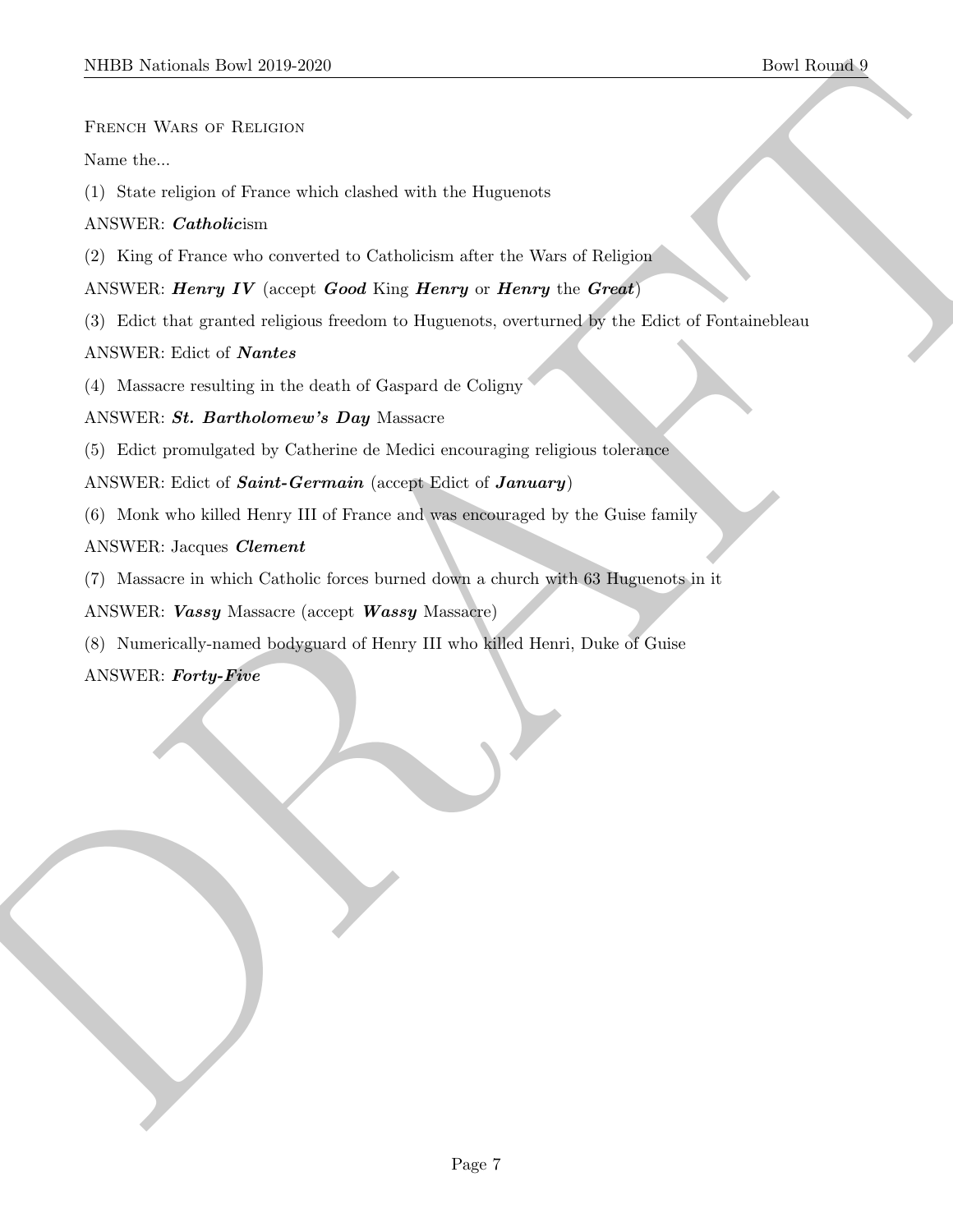French Wars of Religion

Name the...

(1) State religion of France which clashed with the Huguenots

## ANSWER: Catholicism

(2) King of France who converted to Catholicism after the Wars of Religion

# ANSWER: Henry IV (accept  $Good King Henry$  or Henry the Great)

MIDD Netticals Town 2019-2020<br>
The Tampa Control of The contributions<br>
Nettical Watson (1) Science religions of The contributions of the Disputence<br>
ANNEW Control of The control of Nettical Subsets for the University of He (3) Edict that granted religious freedom to Huguenots, overturned by the Edict of Fontainebleau

## ANSWER: Edict of Nantes

(4) Massacre resulting in the death of Gaspard de Coligny

# ANSWER: St. Bartholomew's Day Massacre

(5) Edict promulgated by Catherine de Medici encouraging religious tolerance

ANSWER: Edict of *Saint-Germain* (accept Edict of *January*)

(6) Monk who killed Henry III of France and was encouraged by the Guise family

# ANSWER: Jacques Clement

(7) Massacre in which Catholic forces burned down a church with 63 Huguenots in it

ANSWER: Vassy Massacre (accept Wassy Massacre)

(8) Numerically-named bodyguard of Henry III who killed Henri, Duke of Guise

ANSWER: Forty-Five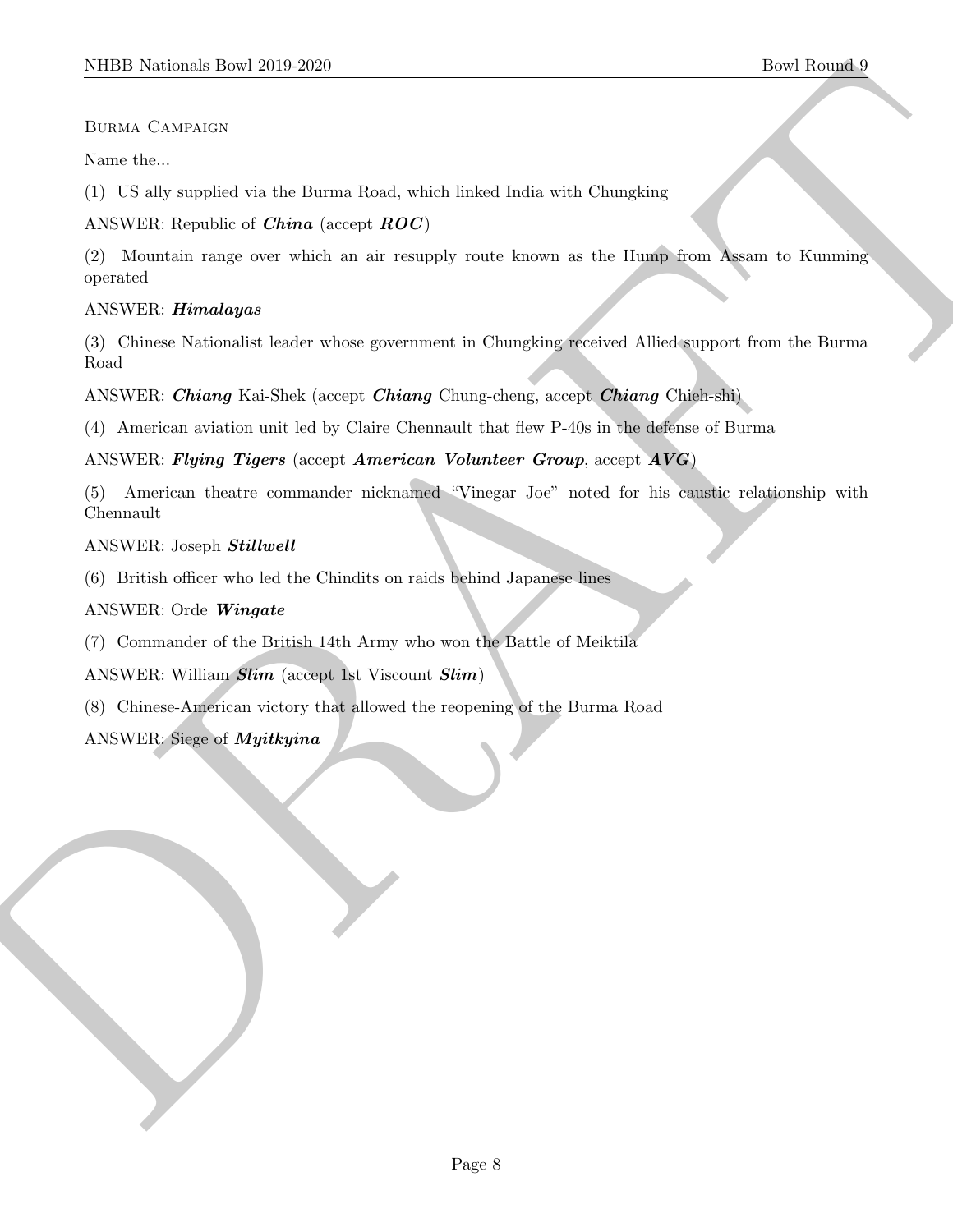#### Burma Campaign

Name the...

(1) US ally supplied via the Burma Road, which linked India with Chungking

ANSWER: Republic of *China* (accept  $ROC$ )

MIDD Neidonal: Dow 2019-2020<br>
Blown them, Characters<br>
Neuro Characters<br>
Now the Second visit the Blown Road, which linked leads with Characters<br>
(1) US also supplied with the lowerable of the space reads that the same as t (2) Mountain range over which an air resupply route known as the Hump from Assam to Kunming operated

#### ANSWER: Himalayas

(3) Chinese Nationalist leader whose government in Chungking received Allied support from the Burma Road

ANSWER: Chiang Kai-Shek (accept Chiang Chung-cheng, accept Chiang Chieh-shi)

(4) American aviation unit led by Claire Chennault that flew P-40s in the defense of Burma

ANSWER: Flying Tigers (accept American Volunteer Group, accept AVG)

(5) American theatre commander nicknamed "Vinegar Joe" noted for his caustic relationship with Chennault

#### ANSWER: Joseph Stillwell

(6) British officer who led the Chindits on raids behind Japanese lines

#### ANSWER: Orde Wingate

(7) Commander of the British 14th Army who won the Battle of Meiktila

ANSWER: William Slim (accept 1st Viscount Slim)

(8) Chinese-American victory that allowed the reopening of the Burma Road

## ANSWER: Siege of Myitkyina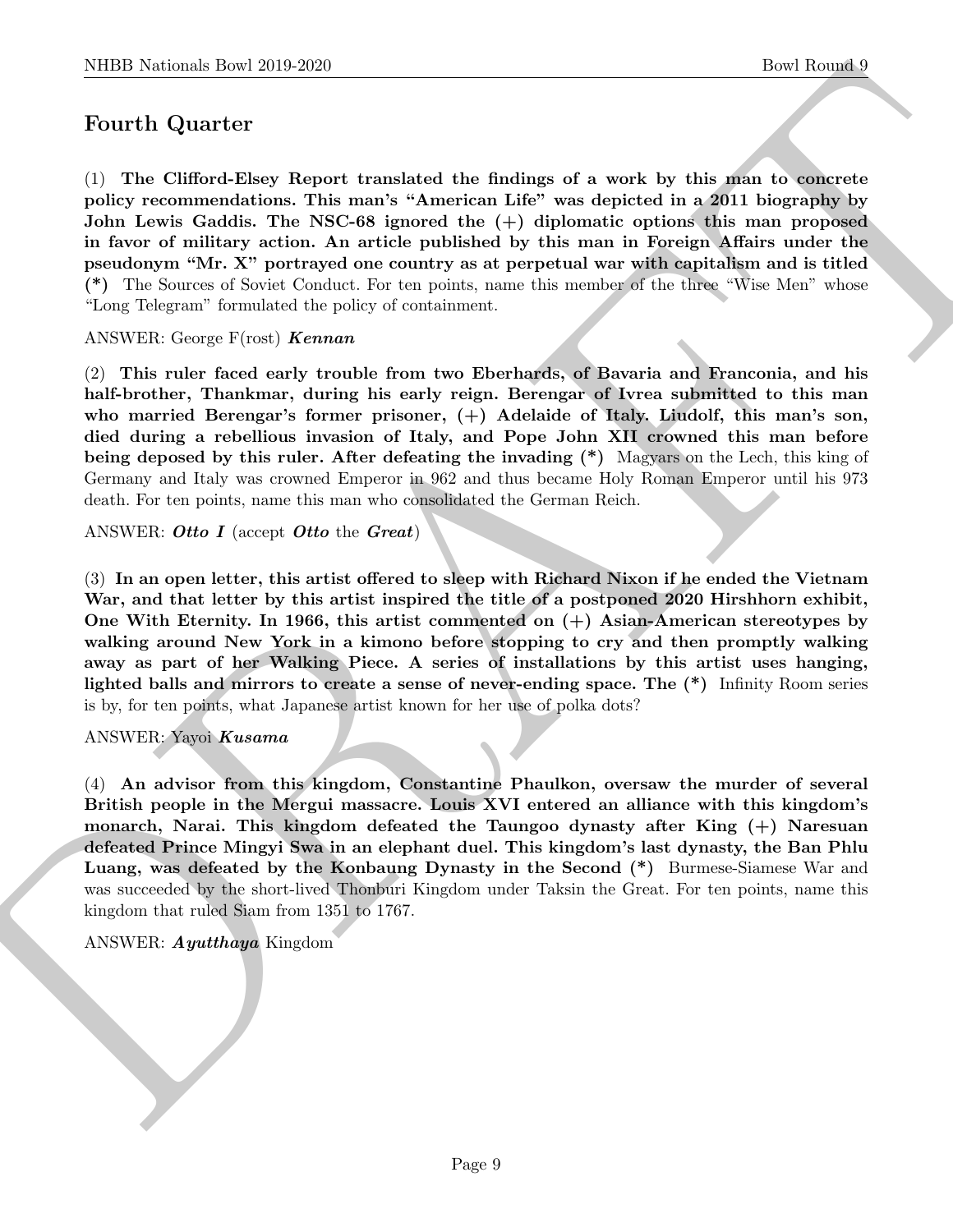# Fourth Quarter

(1) The Clifford-Elsey Report translated the findings of a work by this man to concrete policy recommendations. This man's "American Life" was depicted in a 2011 biography by John Lewis Gaddis. The NSC-68 ignored the (+) diplomatic options this man proposed in favor of military action. An article published by this man in Foreign Affairs under the pseudonym "Mr. X" portrayed one country as at perpetual war with capitalism and is titled (\*) The Sources of Soviet Conduct. For ten points, name this member of the three "Wise Men" whose "Long Telegram" formulated the policy of containment.

ANSWER: George  $F($ rost) **Kennan**

(2) This ruler faced early trouble from two Eberhards, of Bavaria and Franconia, and his half-brother, Thankmar, during his early reign. Berengar of Ivrea submitted to this man who married Berengar's former prisoner,  $(+)$  Adelaide of Italy. Liudolf, this man's son, died during a rebellious invasion of Italy, and Pope John XII crowned this man before being deposed by this ruler. After defeating the invading (\*) Magyars on the Lech, this king of Germany and Italy was crowned Emperor in 962 and thus became Holy Roman Emperor until his 973 death. For ten points, name this man who consolidated the German Reich.

#### ANSWER: Otto I (accept Otto the Great)

(3) In an open letter, this artist offered to sleep with Richard Nixon if he ended the Vietnam War, and that letter by this artist inspired the title of a postponed 2020 Hirshhorn exhibit, One With Eternity. In 1966, this artist commented on (+) Asian-American stereotypes by walking around New York in a kimono before stopping to cry and then promptly walking away as part of her Walking Piece. A series of installations by this artist uses hanging, lighted balls and mirrors to create a sense of never-ending space. The (\*) Infinity Room series is by, for ten points, what Japanese artist known for her use of polka dots?

#### ANSWER: Yayoi Kusama

NIBE Noticeals, how 26:0 2620<br>
Doet Bourges (<br>
For Carrier Counter (<br>
Court). The Carrier Counter of the control of the state of the state of the state of the<br>
polyy recommendations. This may k-American Life" was depicted (4) An advisor from this kingdom, Constantine Phaulkon, oversaw the murder of several British people in the Mergui massacre. Louis XVI entered an alliance with this kingdom's monarch, Narai. This kingdom defeated the Taungoo dynasty after King (+) Naresuan defeated Prince Mingyi Swa in an elephant duel. This kingdom's last dynasty, the Ban Phlu Luang, was defeated by the Konbaung Dynasty in the Second (\*) Burmese-Siamese War and was succeeded by the short-lived Thonburi Kingdom under Taksin the Great. For ten points, name this kingdom that ruled Siam from 1351 to 1767.

#### ANSWER: Ayutthaya Kingdom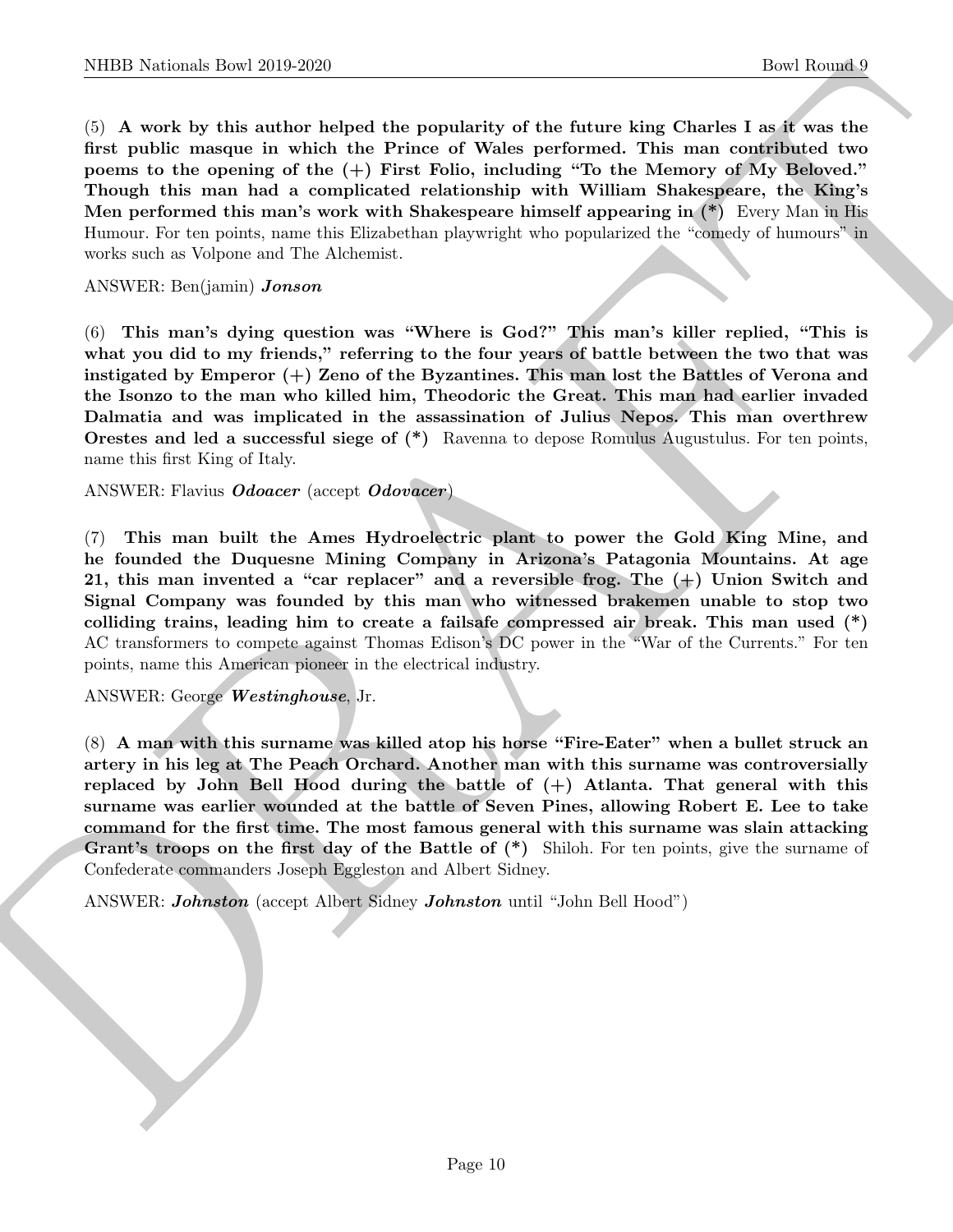(5) A work by this author helped the popularity of the future king Charles I as it was the first public masque in which the Prince of Wales performed. This man contributed two poems to the opening of the (+) First Folio, including "To the Memory of My Beloved." Though this man had a complicated relationship with William Shakespeare, the King's Men performed this man's work with Shakespeare himself appearing in (\*) Every Man in His Humour. For ten points, name this Elizabethan playwright who popularized the "comedy of humours" in works such as Volpone and The Alchemist.

#### ANSWER: Ben(jamin) Jonson

(6) This man's dying question was "Where is God?" This man's killer replied, "This is what you did to my friends," referring to the four years of battle between the two that was instigated by Emperor (+) Zeno of the Byzantines. This man lost the Battles of Verona and the Isonzo to the man who killed him, Theodoric the Great. This man had earlier invaded Dalmatia and was implicated in the assassination of Julius Nepos. This man overthrew Orestes and led a successful siege of (\*) Ravenna to depose Romulus Augustulus. For ten points, name this first King of Italy.

ANSWER: Flavius Odoacer (accept Odovacer)

(7) This man built the Ames Hydroelectric plant to power the Gold King Mine, and he founded the Duquesne Mining Company in Arizona's Patagonia Mountains. At age 21, this man invented a "car replacer" and a reversible frog. The (+) Union Switch and Signal Company was founded by this man who witnessed brakemen unable to stop two colliding trains, leading him to create a failsafe compressed air break. This man used (\*) AC transformers to compete against Thomas Edison's DC power in the "War of the Currents." For ten points, name this American pioneer in the electrical industry.

ANSWER: George Westinghouse, Jr.

NIBER Notes the 2019-2020<br>
(best Rounds) the Rounds<br>
(c) A work by this scalar best the periodicity of the following Chanter in<br>the afternal formula formula formula periodicity of the following Total tensory<br>
formula form (8) A man with this surname was killed atop his horse "Fire-Eater" when a bullet struck an artery in his leg at The Peach Orchard. Another man with this surname was controversially replaced by John Bell Hood during the battle of  $(+)$  Atlanta. That general with this surname was earlier wounded at the battle of Seven Pines, allowing Robert E. Lee to take command for the first time. The most famous general with this surname was slain attacking Grant's troops on the first day of the Battle of  $(*)$  Shiloh. For ten points, give the surname of Confederate commanders Joseph Eggleston and Albert Sidney.

ANSWER: Johnston (accept Albert Sidney Johnston until "John Bell Hood")